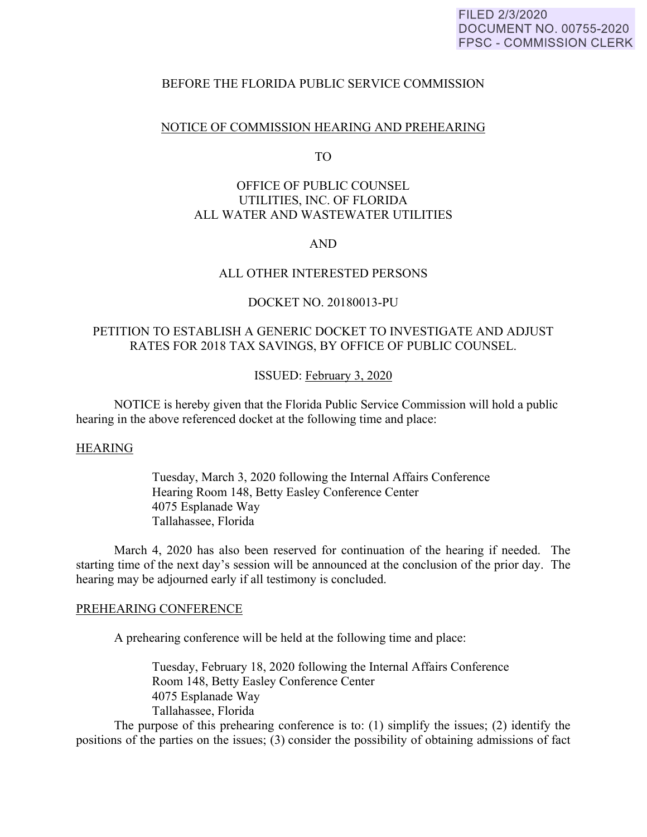## FILED 2/3/2020 **DOCUMENT NO. 00755-2020 FPSC - COMMISSION CLERK**

## BEFORE THE FLORIDA PUBLIC SERVICE COMMISSION

### NOTICE OF COMMISSION HEARING AND PREHEARING

TO

# OFFICE OF PUBLIC COUNSEL UTILITIES, INC. OF FLORIDA ALL WATER AND WASTEWATER UTILITIES

## AND

# ALL OTHER INTERESTED PERSONS

### DOCKET NO. 20180013-PU

# PETITION TO ESTABLISH A GENERIC DOCKET TO INVESTIGATE AND ADJUST RATES FOR 2018 TAX SAVINGS, BY OFFICE OF PUBLIC COUNSEL.

#### ISSUED: February 3, 2020

 NOTICE is hereby given that the Florida Public Service Commission will hold a public hearing in the above referenced docket at the following time and place:

#### HEARING

 Tuesday, March 3, 2020 following the Internal Affairs Conference Hearing Room 148, Betty Easley Conference Center 4075 Esplanade Way Tallahassee, Florida

 March 4, 2020 has also been reserved for continuation of the hearing if needed. The starting time of the next day's session will be announced at the conclusion of the prior day. The hearing may be adjourned early if all testimony is concluded.

#### PREHEARING CONFERENCE

A prehearing conference will be held at the following time and place:

 Tuesday, February 18, 2020 following the Internal Affairs Conference Room 148, Betty Easley Conference Center 4075 Esplanade Way Tallahassee, Florida

 The purpose of this prehearing conference is to: (1) simplify the issues; (2) identify the positions of the parties on the issues; (3) consider the possibility of obtaining admissions of fact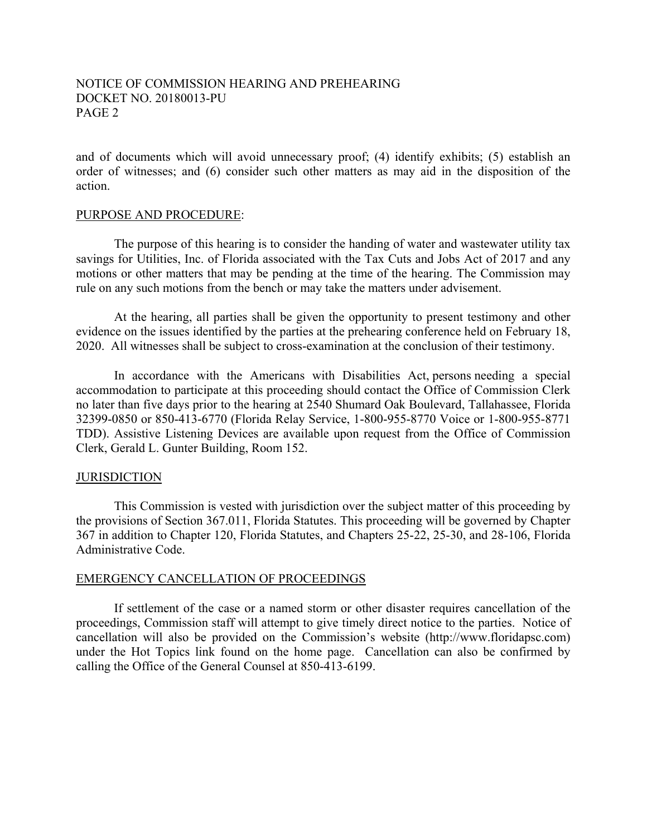# NOTICE OF COMMISSION HEARING AND PREHEARING DOCKET NO. 20180013-PU PAGE 2

and of documents which will avoid unnecessary proof; (4) identify exhibits; (5) establish an order of witnesses; and (6) consider such other matters as may aid in the disposition of the action.

#### PURPOSE AND PROCEDURE:

 The purpose of this hearing is to consider the handing of water and wastewater utility tax savings for Utilities, Inc. of Florida associated with the Tax Cuts and Jobs Act of 2017 and any motions or other matters that may be pending at the time of the hearing. The Commission may rule on any such motions from the bench or may take the matters under advisement.

 At the hearing, all parties shall be given the opportunity to present testimony and other evidence on the issues identified by the parties at the prehearing conference held on February 18, 2020. All witnesses shall be subject to cross-examination at the conclusion of their testimony.

 In accordance with the Americans with Disabilities Act, persons needing a special accommodation to participate at this proceeding should contact the Office of Commission Clerk no later than five days prior to the hearing at 2540 Shumard Oak Boulevard, Tallahassee, Florida 32399-0850 or 850-413-6770 (Florida Relay Service, 1-800-955-8770 Voice or 1-800-955-8771 TDD). Assistive Listening Devices are available upon request from the Office of Commission Clerk, Gerald L. Gunter Building, Room 152.

#### **JURISDICTION**

 This Commission is vested with jurisdiction over the subject matter of this proceeding by the provisions of Section 367.011, Florida Statutes. This proceeding will be governed by Chapter 367 in addition to Chapter 120, Florida Statutes, and Chapters 25-22, 25-30, and 28-106, Florida Administrative Code.

#### EMERGENCY CANCELLATION OF PROCEEDINGS

If settlement of the case or a named storm or other disaster requires cancellation of the proceedings, Commission staff will attempt to give timely direct notice to the parties. Notice of cancellation will also be provided on the Commission's website (http://www.floridapsc.com) under the Hot Topics link found on the home page. Cancellation can also be confirmed by calling the Office of the General Counsel at 850-413-6199.